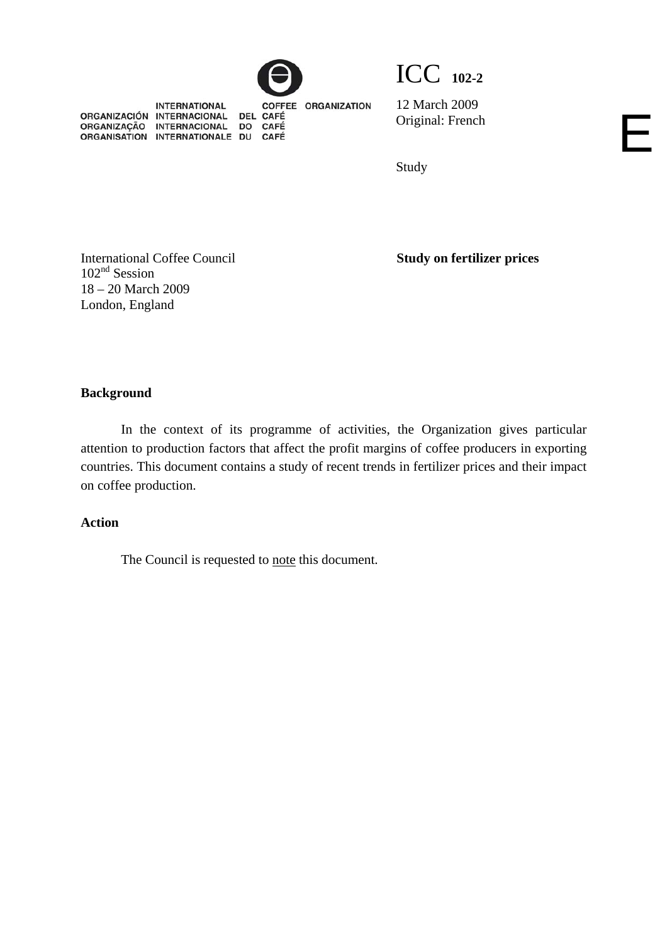



**INTERNATIONAL** ORGANIZACIÓN INTERNACIONAL DEL<br>ORGANIZAÇÃO INTERNACIONAL DO<br>ORGANISATION INTERNATIONALE DU DEL CAFÉ CAFÉ CAFÉ

COFFEE ORGANIZATION

12 March 2009 Original: French

Study

International Coffee Council 102<sup>nd</sup> Session 18 – 20 March 2009 London, England

**Study on fertilizer prices** 

E

**Background** 

In the context of its programme of activities, the Organization gives particular attention to production factors that affect the profit margins of coffee producers in exporting countries. This document contains a study of recent trends in fertilizer prices and their impact on coffee production.

## **Action**

The Council is requested to note this document.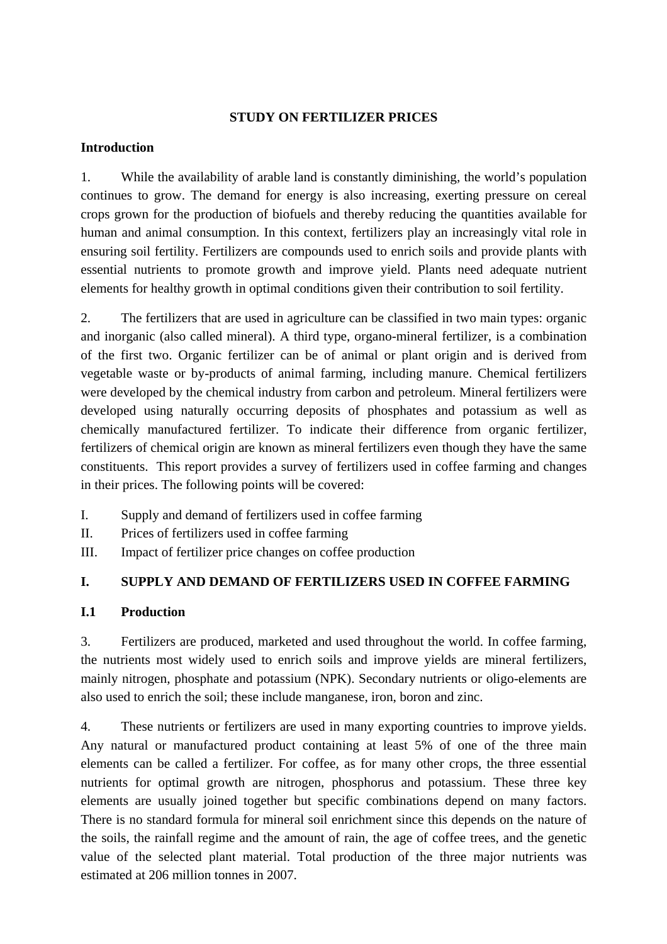### **STUDY ON FERTILIZER PRICES**

## **Introduction**

1. While the availability of arable land is constantly diminishing, the world's population continues to grow. The demand for energy is also increasing, exerting pressure on cereal crops grown for the production of biofuels and thereby reducing the quantities available for human and animal consumption. In this context, fertilizers play an increasingly vital role in ensuring soil fertility. Fertilizers are compounds used to enrich soils and provide plants with essential nutrients to promote growth and improve yield. Plants need adequate nutrient elements for healthy growth in optimal conditions given their contribution to soil fertility.

2. The fertilizers that are used in agriculture can be classified in two main types: organic and inorganic (also called mineral). A third type, organo-mineral fertilizer, is a combination of the first two. Organic fertilizer can be of animal or plant origin and is derived from vegetable waste or by-products of animal farming, including manure. Chemical fertilizers were developed by the chemical industry from carbon and petroleum. Mineral fertilizers were developed using naturally occurring deposits of phosphates and potassium as well as chemically manufactured fertilizer. To indicate their difference from organic fertilizer, fertilizers of chemical origin are known as mineral fertilizers even though they have the same constituents. This report provides a survey of fertilizers used in coffee farming and changes in their prices. The following points will be covered:

- I. Supply and demand of fertilizers used in coffee farming
- II. Prices of fertilizers used in coffee farming
- III. Impact of fertilizer price changes on coffee production

## **I. SUPPLY AND DEMAND OF FERTILIZERS USED IN COFFEE FARMING**

## **I.1 Production**

3. Fertilizers are produced, marketed and used throughout the world. In coffee farming, the nutrients most widely used to enrich soils and improve yields are mineral fertilizers, mainly nitrogen, phosphate and potassium (NPK). Secondary nutrients or oligo-elements are also used to enrich the soil; these include manganese, iron, boron and zinc.

4. These nutrients or fertilizers are used in many exporting countries to improve yields. Any natural or manufactured product containing at least 5% of one of the three main elements can be called a fertilizer. For coffee, as for many other crops, the three essential nutrients for optimal growth are nitrogen, phosphorus and potassium. These three key elements are usually joined together but specific combinations depend on many factors. There is no standard formula for mineral soil enrichment since this depends on the nature of the soils, the rainfall regime and the amount of rain, the age of coffee trees, and the genetic value of the selected plant material. Total production of the three major nutrients was estimated at 206 million tonnes in 2007.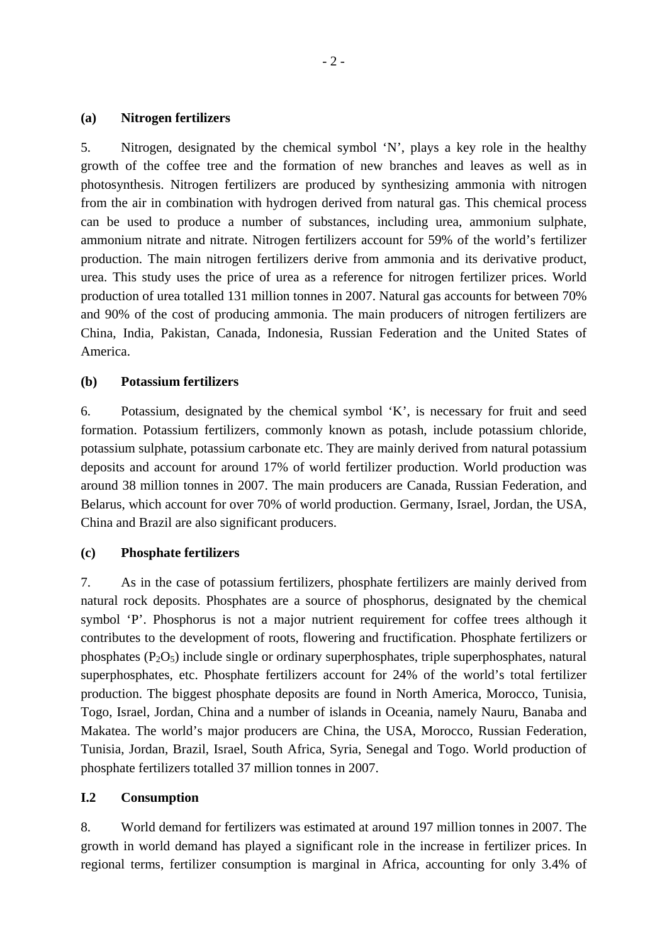### **(a) Nitrogen fertilizers**

5. Nitrogen, designated by the chemical symbol 'N', plays a key role in the healthy growth of the coffee tree and the formation of new branches and leaves as well as in photosynthesis. Nitrogen fertilizers are produced by synthesizing ammonia with nitrogen from the air in combination with hydrogen derived from natural gas. This chemical process can be used to produce a number of substances, including urea, ammonium sulphate, ammonium nitrate and nitrate. Nitrogen fertilizers account for 59% of the world's fertilizer production. The main nitrogen fertilizers derive from ammonia and its derivative product, urea. This study uses the price of urea as a reference for nitrogen fertilizer prices. World production of urea totalled 131 million tonnes in 2007. Natural gas accounts for between 70% and 90% of the cost of producing ammonia. The main producers of nitrogen fertilizers are China, India, Pakistan, Canada, Indonesia, Russian Federation and the United States of America.

### **(b) Potassium fertilizers**

6. Potassium, designated by the chemical symbol 'K', is necessary for fruit and seed formation. Potassium fertilizers, commonly known as potash, include potassium chloride, potassium sulphate, potassium carbonate etc. They are mainly derived from natural potassium deposits and account for around 17% of world fertilizer production. World production was around 38 million tonnes in 2007. The main producers are Canada, Russian Federation, and Belarus, which account for over 70% of world production. Germany, Israel, Jordan, the USA, China and Brazil are also significant producers.

### **(c) Phosphate fertilizers**

7. As in the case of potassium fertilizers, phosphate fertilizers are mainly derived from natural rock deposits. Phosphates are a source of phosphorus, designated by the chemical symbol 'P'. Phosphorus is not a major nutrient requirement for coffee trees although it contributes to the development of roots, flowering and fructification. Phosphate fertilizers or phosphates  $(P_2O_5)$  include single or ordinary superphosphates, triple superphosphates, natural superphosphates, etc. Phosphate fertilizers account for 24% of the world's total fertilizer production. The biggest phosphate deposits are found in North America, Morocco, Tunisia, Togo, Israel, Jordan, China and a number of islands in Oceania, namely Nauru, Banaba and Makatea. The world's major producers are China, the USA, Morocco, Russian Federation, Tunisia, Jordan, Brazil, Israel, South Africa, Syria, Senegal and Togo. World production of phosphate fertilizers totalled 37 million tonnes in 2007.

#### **I.2 Consumption**

8. World demand for fertilizers was estimated at around 197 million tonnes in 2007. The growth in world demand has played a significant role in the increase in fertilizer prices. In regional terms, fertilizer consumption is marginal in Africa, accounting for only 3.4% of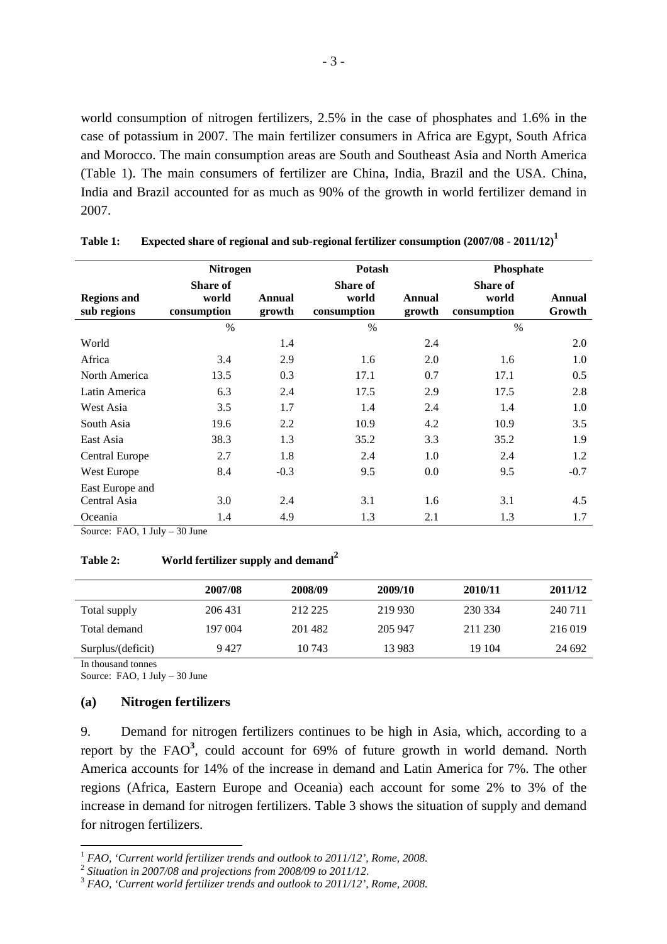world consumption of nitrogen fertilizers, 2.5% in the case of phosphates and 1.6% in the case of potassium in 2007. The main fertilizer consumers in Africa are Egypt, South Africa and Morocco. The main consumption areas are South and Southeast Asia and North America (Table 1). The main consumers of fertilizer are China, India, Brazil and the USA. China, India and Brazil accounted for as much as 90% of the growth in world fertilizer demand in 2007.

|                                   | <b>Nitrogen</b>                         |                  | <b>Potash</b>                           |                  | Phosphate                        |                  |  |
|-----------------------------------|-----------------------------------------|------------------|-----------------------------------------|------------------|----------------------------------|------------------|--|
| <b>Regions and</b><br>sub regions | <b>Share of</b><br>world<br>consumption | Annual<br>growth | <b>Share of</b><br>world<br>consumption | Annual<br>growth | Share of<br>world<br>consumption | Annual<br>Growth |  |
|                                   | $\%$                                    |                  | $\frac{0}{0}$                           |                  | $\%$                             |                  |  |
| World                             |                                         | 1.4              |                                         | 2.4              |                                  | 2.0              |  |
| Africa                            | 3.4                                     | 2.9              | 1.6                                     | 2.0              | 1.6                              | 1.0              |  |
| North America                     | 13.5                                    | 0.3              | 17.1                                    | 0.7              | 17.1                             | 0.5              |  |
| Latin America                     | 6.3                                     | 2.4              | 17.5                                    | 2.9              | 17.5                             | 2.8              |  |
| West Asia                         | 3.5                                     | 1.7              | 1.4                                     | 2.4              | 1.4                              | 1.0              |  |
| South Asia                        | 19.6                                    | 2.2              | 10.9                                    | 4.2              | 10.9                             | 3.5              |  |
| East Asia                         | 38.3                                    | 1.3              | 35.2                                    | 3.3              | 35.2                             | 1.9              |  |
| Central Europe                    | 2.7                                     | 1.8              | 2.4                                     | 1.0              | 2.4                              | 1.2              |  |
| West Europe                       | 8.4                                     | $-0.3$           | 9.5                                     | 0.0              | 9.5                              | $-0.7$           |  |
| East Europe and                   |                                         |                  |                                         |                  |                                  |                  |  |
| Central Asia                      | 3.0                                     | 2.4              | 3.1                                     | 1.6              | 3.1                              | 4.5              |  |
| Oceania                           | 1.4                                     | 4.9              | 1.3                                     | 2.1              | 1.3                              | 1.7              |  |

**Table 1: Expected share of regional and sub-regional fertilizer consumption (2007/08 - 2011/12)1**

Source: FAO, 1 July – 30 June

## **Table 2: World fertilizer supply and demand<sup>2</sup>**

|                   | 2007/08 | 2008/09 | 2009/10 | 2010/11 | 2011/12 |
|-------------------|---------|---------|---------|---------|---------|
| Total supply      | 206 431 | 212 225 | 219 930 | 230 334 | 240 711 |
| Total demand      | 197 004 | 201482  | 205 947 | 211 230 | 216 019 |
| Surplus/(deficit) | 9427    | 10 743  | 13 983  | 19 104  | 24 692  |

In thousand tonnes Source: FAO, 1 July – 30 June

 $\overline{a}$ 

### **(a) Nitrogen fertilizers**

9. Demand for nitrogen fertilizers continues to be high in Asia, which, according to a report by the FAO**<sup>3</sup>** , could account for 69% of future growth in world demand. North America accounts for 14% of the increase in demand and Latin America for 7%. The other regions (Africa, Eastern Europe and Oceania) each account for some 2% to 3% of the increase in demand for nitrogen fertilizers. Table 3 shows the situation of supply and demand for nitrogen fertilizers.

<sup>&</sup>lt;sup>1</sup> *FAO, 'Current world fertilizer trends and outlook to 2011/12', Rome, 2008.* 

<sup>2</sup> *Situation in 2007/08 and projections from 2008/09 to 2011/12.*

<sup>3</sup> *FAO, 'Current world fertilizer trends and outlook to 2011/12', Rome, 2008.*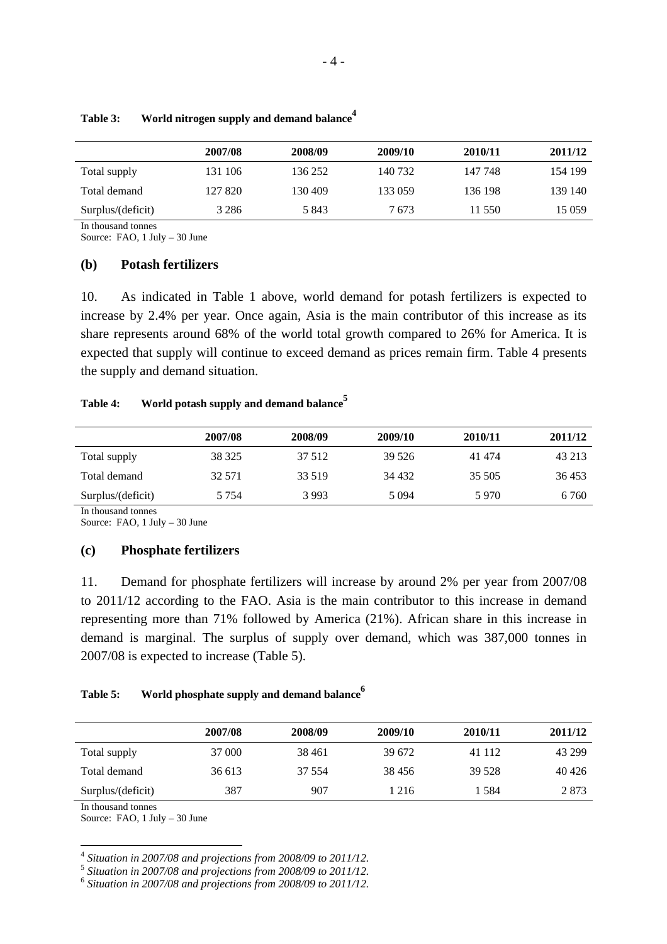|                   | 2007/08 | 2008/09 | 2009/10 | 2010/11 | 2011/12 |
|-------------------|---------|---------|---------|---------|---------|
| Total supply      | 131 106 | 136 252 | 140 732 | 147 748 | 154 199 |
| Total demand      | 127 820 | 130 409 | 133 059 | 136 198 | 139 140 |
| Surplus/(deficit) | 3 2 8 6 | 5843    | 7 673   | 11 550  | 15 059  |

| Table 3: | World nitrogen supply and demand balance <sup>-</sup> |  |  |
|----------|-------------------------------------------------------|--|--|

In thousand tonnes

Source: FAO, 1 July – 30 June

#### **(b) Potash fertilizers**

10. As indicated in Table 1 above, world demand for potash fertilizers is expected to increase by 2.4% per year. Once again, Asia is the main contributor of this increase as its share represents around 68% of the world total growth compared to 26% for America. It is expected that supply will continue to exceed demand as prices remain firm. Table 4 presents the supply and demand situation.

### Table 4: World potash supply and demand balance<sup>5</sup>

|                   | 2007/08 | 2008/09 | 2009/10 | 2010/11 | 2011/12 |
|-------------------|---------|---------|---------|---------|---------|
| Total supply      | 38 325  | 37 512  | 39 5 26 | 41 474  | 43 213  |
| Total demand      | 32 571  | 33 519  | 34 4 32 | 35 505  | 36453   |
| Surplus/(deficit) | 5 7 5 4 | 3993    | 5 0 9 4 | 5970    | 6 760   |

In thousand tonnes

Source: FAO, 1 July – 30 June

#### **(c) Phosphate fertilizers**

11. Demand for phosphate fertilizers will increase by around 2% per year from 2007/08 to 2011/12 according to the FAO. Asia is the main contributor to this increase in demand representing more than 71% followed by America (21%). African share in this increase in demand is marginal. The surplus of supply over demand, which was 387,000 tonnes in 2007/08 is expected to increase (Table 5).

### Table 5: World phosphate supply and demand balance<sup>6</sup>

|                   | 2007/08 | 2008/09 | 2009/10 | 2010/11 | 2011/12 |
|-------------------|---------|---------|---------|---------|---------|
| Total supply      | 37 000  | 38 4 61 | 39 672  | 41 112  | 43 299  |
| Total demand      | 36 613  | 37 554  | 38456   | 39 528  | 40426   |
| Surplus/(deficit) | 387     | 907     | l 216   | 1 584   | 2873    |
|                   |         |         |         |         |         |

In thousand tonnes

 $\overline{a}$ 

Source: FAO, 1 July – 30 June

<sup>4</sup> *Situation in 2007/08 and projections from 2008/09 to 2011/12.* 

<sup>5</sup> *Situation in 2007/08 and projections from 2008/09 to 2011/12.* 

<sup>6</sup> *Situation in 2007/08 and projections from 2008/09 to 2011/12.*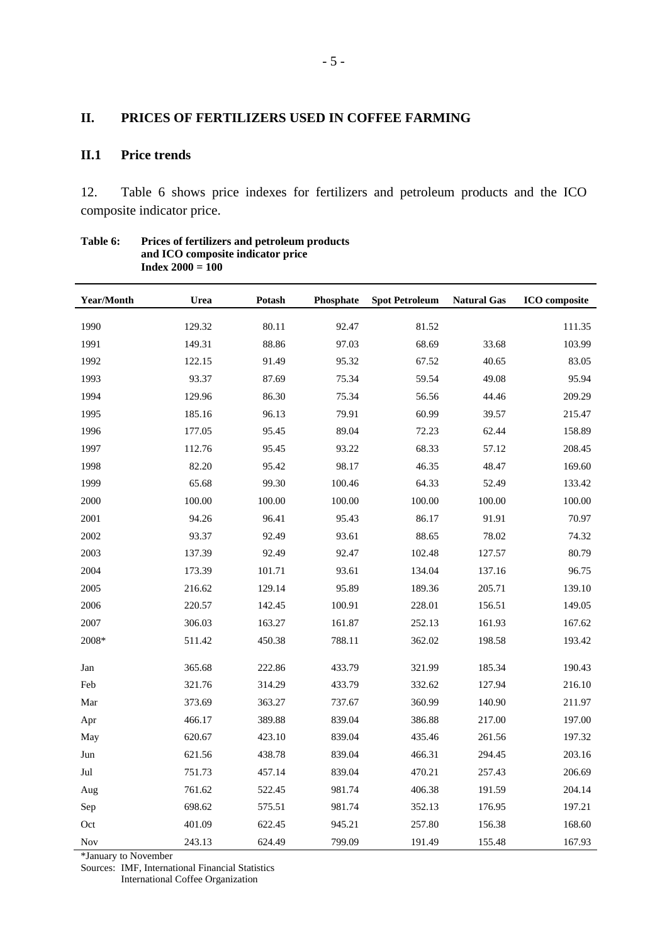### **II. PRICES OF FERTILIZERS USED IN COFFEE FARMING**

## **II.1 Price trends**

12. Table 6 shows price indexes for fertilizers and petroleum products and the ICO composite indicator price.

| <b>Year/Month</b> | Urea   | Potash | Phosphate | <b>Spot Petroleum</b> | <b>Natural Gas</b> | <b>ICO</b> composite |
|-------------------|--------|--------|-----------|-----------------------|--------------------|----------------------|
| 1990              | 129.32 | 80.11  | 92.47     | 81.52                 |                    | 111.35               |
| 1991              | 149.31 | 88.86  | 97.03     | 68.69                 | 33.68              | 103.99               |
| 1992              | 122.15 | 91.49  | 95.32     | 67.52                 | 40.65              | 83.05                |
| 1993              | 93.37  | 87.69  | 75.34     | 59.54                 | 49.08              | 95.94                |
| 1994              | 129.96 | 86.30  | 75.34     | 56.56                 | 44.46              | 209.29               |
| 1995              | 185.16 | 96.13  | 79.91     | 60.99                 | 39.57              | 215.47               |
| 1996              | 177.05 | 95.45  | 89.04     | 72.23                 | 62.44              | 158.89               |
| 1997              | 112.76 | 95.45  | 93.22     | 68.33                 | 57.12              | 208.45               |
| 1998              | 82.20  | 95.42  | 98.17     | 46.35                 | 48.47              | 169.60               |
| 1999              | 65.68  | 99.30  | 100.46    | 64.33                 | 52.49              | 133.42               |
| 2000              | 100.00 | 100.00 | 100.00    | 100.00                | 100.00             | 100.00               |
| 2001              | 94.26  | 96.41  | 95.43     | 86.17                 | 91.91              | 70.97                |
| 2002              | 93.37  | 92.49  | 93.61     | 88.65                 | 78.02              | 74.32                |
| 2003              | 137.39 | 92.49  | 92.47     | 102.48                | 127.57             | 80.79                |
| 2004              | 173.39 | 101.71 | 93.61     | 134.04                | 137.16             | 96.75                |
| 2005              | 216.62 | 129.14 | 95.89     | 189.36                | 205.71             | 139.10               |
| 2006              | 220.57 | 142.45 | 100.91    | 228.01                | 156.51             | 149.05               |
| 2007              | 306.03 | 163.27 | 161.87    | 252.13                | 161.93             | 167.62               |
| 2008*             | 511.42 | 450.38 | 788.11    | 362.02                | 198.58             | 193.42               |
| Jan               | 365.68 | 222.86 | 433.79    | 321.99                | 185.34             | 190.43               |
| Feb               | 321.76 | 314.29 | 433.79    | 332.62                | 127.94             | 216.10               |
| Mar               | 373.69 | 363.27 | 737.67    | 360.99                | 140.90             | 211.97               |
| Apr               | 466.17 | 389.88 | 839.04    | 386.88                | 217.00             | 197.00               |
| May               | 620.67 | 423.10 | 839.04    | 435.46                | 261.56             | 197.32               |
| Jun               | 621.56 | 438.78 | 839.04    | 466.31                | 294.45             | 203.16               |
| Jul               | 751.73 | 457.14 | 839.04    | 470.21                | 257.43             | 206.69               |
| Aug               | 761.62 | 522.45 | 981.74    | 406.38                | 191.59             | 204.14               |
| Sep               | 698.62 | 575.51 | 981.74    | 352.13                | 176.95             | 197.21               |
| Oct               | 401.09 | 622.45 | 945.21    | 257.80                | 156.38             | 168.60               |
| Nov               | 243.13 | 624.49 | 799.09    | 191.49                | 155.48             | 167.93               |

#### **Table 6: Prices of fertilizers and petroleum products and ICO composite indicator price Index 2000 = 100**

\*January to November

Sources: IMF, International Financial Statistics International Coffee Organization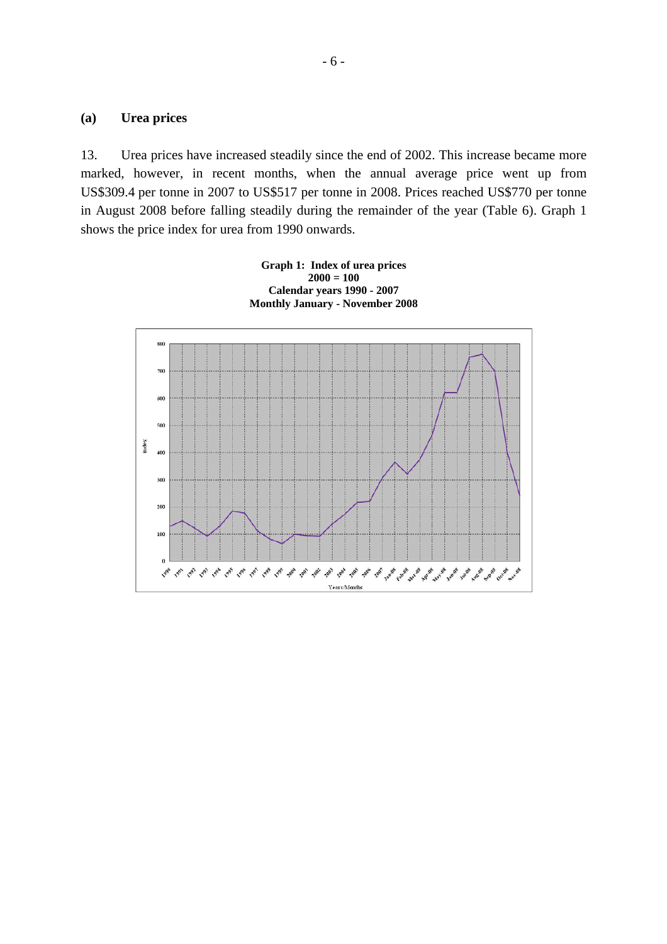### **(a) Urea prices**

13. Urea prices have increased steadily since the end of 2002. This increase became more marked, however, in recent months, when the annual average price went up from US\$309.4 per tonne in 2007 to US\$517 per tonne in 2008. Prices reached US\$770 per tonne in August 2008 before falling steadily during the remainder of the year (Table 6). Graph 1 shows the price index for urea from 1990 onwards.

> **Graph 1: Index of urea prices 2000 = 100 Calendar years 1990 - 2007 Monthly January - November 2008**

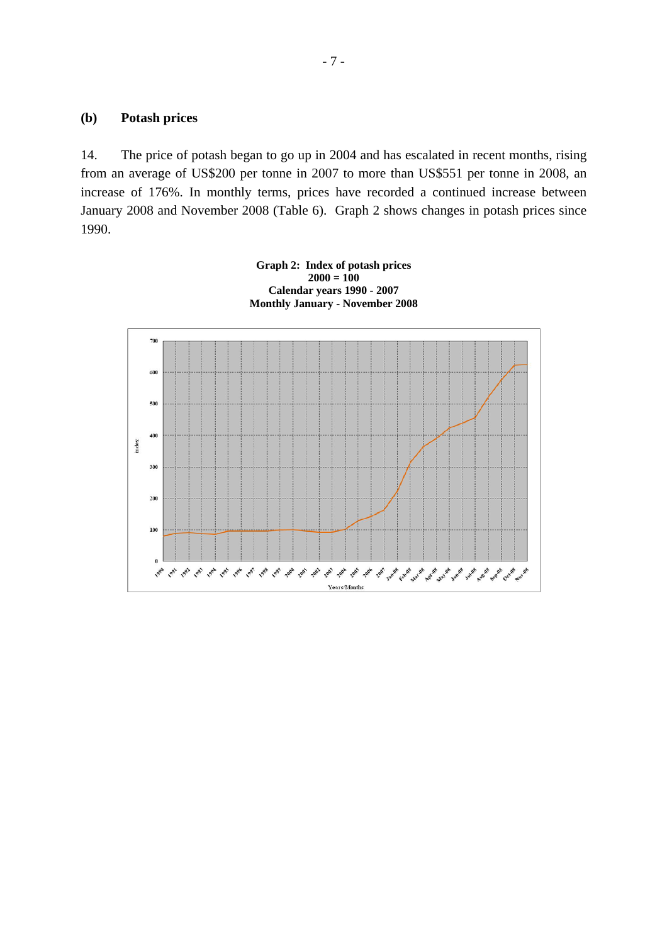### **(b) Potash prices**

14. The price of potash began to go up in 2004 and has escalated in recent months, rising from an average of US\$200 per tonne in 2007 to more than US\$551 per tonne in 2008, an increase of 176%. In monthly terms, prices have recorded a continued increase between January 2008 and November 2008 (Table 6). Graph 2 shows changes in potash prices since 1990.

**Graph 2: Index of potash prices** 

- 7 -

 $2000 = 100$ **Calendar years 1990 - 2007 Monthly January - November 2008** 700 600 500  $400$ index 300 200 100  $\overline{\mathbf{0}}$ ちょうちゅう ちょう ちゅうちゃ ちちょうちんちんちんちんちゅう Years/Month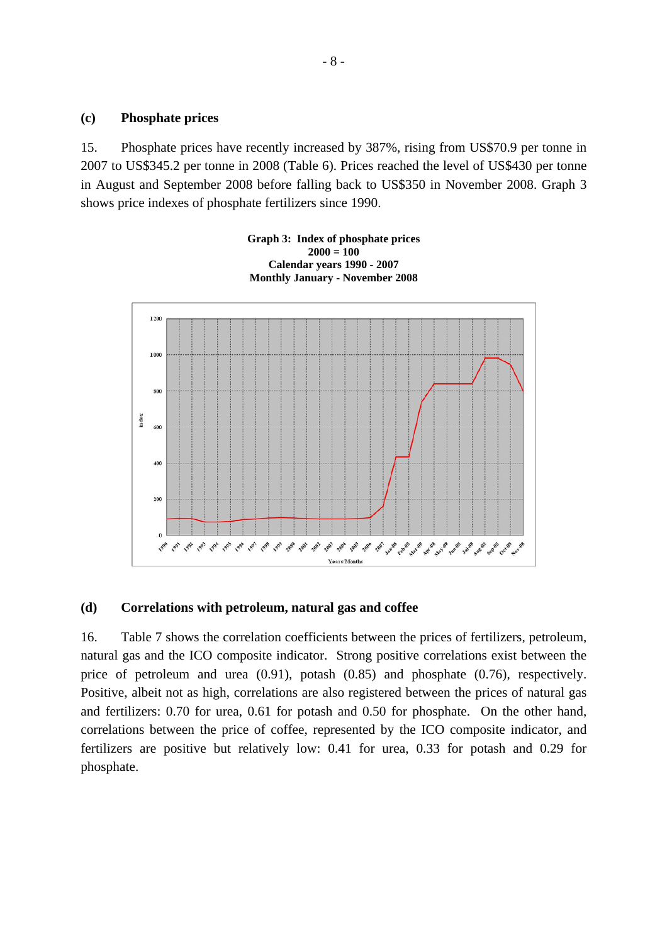### **(c) Phosphate prices**

15. Phosphate prices have recently increased by 387%, rising from US\$70.9 per tonne in 2007 to US\$345.2 per tonne in 2008 (Table 6). Prices reached the level of US\$430 per tonne in August and September 2008 before falling back to US\$350 in November 2008. Graph 3 shows price indexes of phosphate fertilizers since 1990.



#### **(d) Correlations with petroleum, natural gas and coffee**

16. Table 7 shows the correlation coefficients between the prices of fertilizers, petroleum, natural gas and the ICO composite indicator. Strong positive correlations exist between the price of petroleum and urea (0.91), potash (0.85) and phosphate (0.76), respectively. Positive, albeit not as high, correlations are also registered between the prices of natural gas and fertilizers: 0.70 for urea, 0.61 for potash and 0.50 for phosphate. On the other hand, correlations between the price of coffee, represented by the ICO composite indicator, and fertilizers are positive but relatively low: 0.41 for urea, 0.33 for potash and 0.29 for phosphate.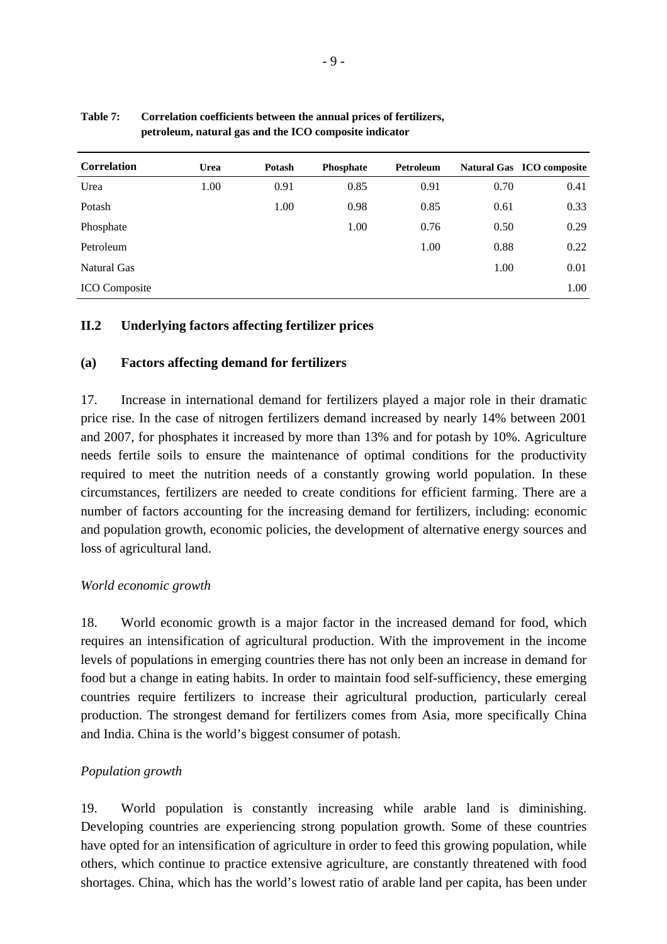| <b>Correlation</b>   | <b>Urea</b> | <b>Potash</b> | <b>Phosphate</b> | Petroleum |      | Natural Gas ICO composite |
|----------------------|-------------|---------------|------------------|-----------|------|---------------------------|
| Urea                 | 1.00        | 0.91          | 0.85             | 0.91      | 0.70 | 0.41                      |
| Potash               |             | 1.00          | 0.98             | 0.85      | 0.61 | 0.33                      |
| Phosphate            |             |               | 1.00             | 0.76      | 0.50 | 0.29                      |
| Petroleum            |             |               |                  | 1.00      | 0.88 | 0.22                      |
| Natural Gas          |             |               |                  |           | 1.00 | 0.01                      |
| <b>ICO</b> Composite |             |               |                  |           |      | 1.00                      |

### **Table 7: Correlation coefficients between the annual prices of fertilizers, petroleum, natural gas and the ICO composite indicator**

## **II.2 Underlying factors affecting fertilizer prices**

## **(a) Factors affecting demand for fertilizers**

17. Increase in international demand for fertilizers played a major role in their dramatic price rise. In the case of nitrogen fertilizers demand increased by nearly 14% between 2001 and 2007, for phosphates it increased by more than 13% and for potash by 10%. Agriculture needs fertile soils to ensure the maintenance of optimal conditions for the productivity required to meet the nutrition needs of a constantly growing world population. In these circumstances, fertilizers are needed to create conditions for efficient farming. There are a number of factors accounting for the increasing demand for fertilizers, including: economic and population growth, economic policies, the development of alternative energy sources and loss of agricultural land.

### *World economic growth*

18. World economic growth is a major factor in the increased demand for food, which requires an intensification of agricultural production. With the improvement in the income levels of populations in emerging countries there has not only been an increase in demand for food but a change in eating habits. In order to maintain food self-sufficiency, these emerging countries require fertilizers to increase their agricultural production, particularly cereal production. The strongest demand for fertilizers comes from Asia, more specifically China and India. China is the world's biggest consumer of potash.

### *Population growth*

19. World population is constantly increasing while arable land is diminishing. Developing countries are experiencing strong population growth. Some of these countries have opted for an intensification of agriculture in order to feed this growing population, while others, which continue to practice extensive agriculture, are constantly threatened with food shortages. China, which has the world's lowest ratio of arable land per capita, has been under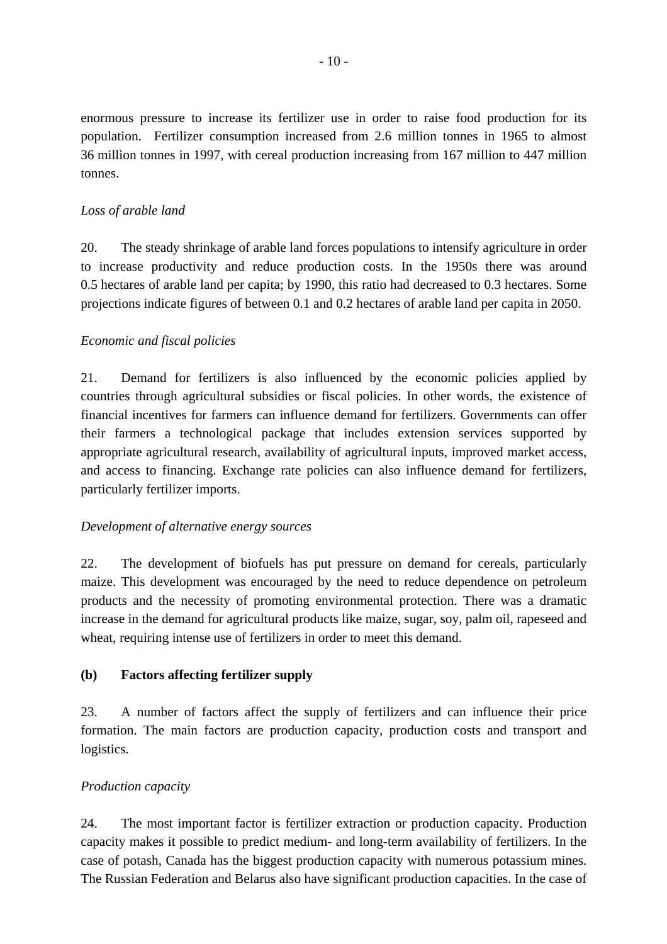enormous pressure to increase its fertilizer use in order to raise food production for its population. Fertilizer consumption increased from 2.6 million tonnes in 1965 to almost 36 million tonnes in 1997, with cereal production increasing from 167 million to 447 million tonnes.

## *Loss of arable land*

20. The steady shrinkage of arable land forces populations to intensify agriculture in order to increase productivity and reduce production costs. In the 1950s there was around 0.5 hectares of arable land per capita; by 1990, this ratio had decreased to 0.3 hectares. Some projections indicate figures of between 0.1 and 0.2 hectares of arable land per capita in 2050.

## *Economic and fiscal policies*

21. Demand for fertilizers is also influenced by the economic policies applied by countries through agricultural subsidies or fiscal policies. In other words, the existence of financial incentives for farmers can influence demand for fertilizers. Governments can offer their farmers a technological package that includes extension services supported by appropriate agricultural research, availability of agricultural inputs, improved market access, and access to financing. Exchange rate policies can also influence demand for fertilizers, particularly fertilizer imports.

## *Development of alternative energy sources*

22. The development of biofuels has put pressure on demand for cereals, particularly maize. This development was encouraged by the need to reduce dependence on petroleum products and the necessity of promoting environmental protection. There was a dramatic increase in the demand for agricultural products like maize, sugar, soy, palm oil, rapeseed and wheat, requiring intense use of fertilizers in order to meet this demand.

# **(b) Factors affecting fertilizer supply**

23. A number of factors affect the supply of fertilizers and can influence their price formation. The main factors are production capacity, production costs and transport and logistics.

# *Production capacity*

24. The most important factor is fertilizer extraction or production capacity. Production capacity makes it possible to predict medium- and long-term availability of fertilizers. In the case of potash, Canada has the biggest production capacity with numerous potassium mines. The Russian Federation and Belarus also have significant production capacities. In the case of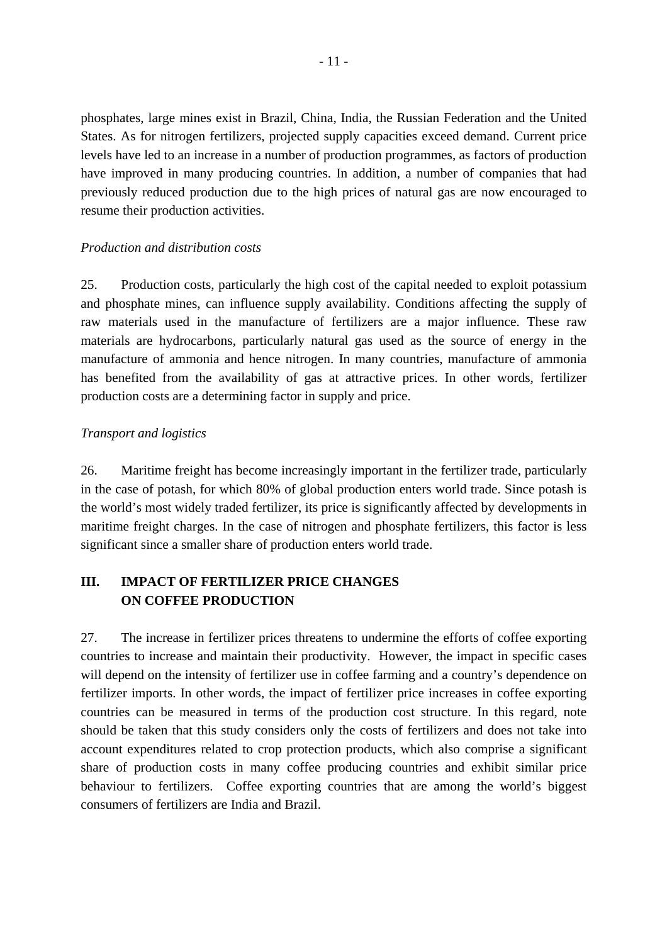phosphates, large mines exist in Brazil, China, India, the Russian Federation and the United States. As for nitrogen fertilizers, projected supply capacities exceed demand. Current price levels have led to an increase in a number of production programmes, as factors of production have improved in many producing countries. In addition, a number of companies that had previously reduced production due to the high prices of natural gas are now encouraged to resume their production activities.

## *Production and distribution costs*

25. Production costs, particularly the high cost of the capital needed to exploit potassium and phosphate mines, can influence supply availability. Conditions affecting the supply of raw materials used in the manufacture of fertilizers are a major influence. These raw materials are hydrocarbons, particularly natural gas used as the source of energy in the manufacture of ammonia and hence nitrogen. In many countries, manufacture of ammonia has benefited from the availability of gas at attractive prices. In other words, fertilizer production costs are a determining factor in supply and price.

## *Transport and logistics*

26. Maritime freight has become increasingly important in the fertilizer trade, particularly in the case of potash, for which 80% of global production enters world trade. Since potash is the world's most widely traded fertilizer, its price is significantly affected by developments in maritime freight charges. In the case of nitrogen and phosphate fertilizers, this factor is less significant since a smaller share of production enters world trade.

# **III. IMPACT OF FERTILIZER PRICE CHANGES ON COFFEE PRODUCTION**

27. The increase in fertilizer prices threatens to undermine the efforts of coffee exporting countries to increase and maintain their productivity. However, the impact in specific cases will depend on the intensity of fertilizer use in coffee farming and a country's dependence on fertilizer imports. In other words, the impact of fertilizer price increases in coffee exporting countries can be measured in terms of the production cost structure. In this regard, note should be taken that this study considers only the costs of fertilizers and does not take into account expenditures related to crop protection products, which also comprise a significant share of production costs in many coffee producing countries and exhibit similar price behaviour to fertilizers. Coffee exporting countries that are among the world's biggest consumers of fertilizers are India and Brazil.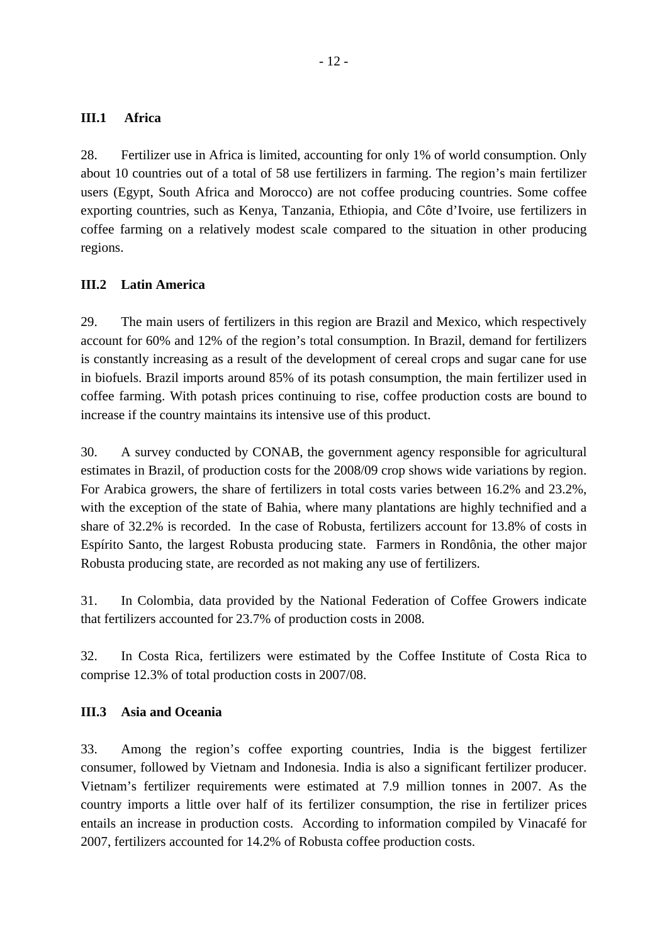## **III.1 Africa**

28. Fertilizer use in Africa is limited, accounting for only 1% of world consumption. Only about 10 countries out of a total of 58 use fertilizers in farming. The region's main fertilizer users (Egypt, South Africa and Morocco) are not coffee producing countries. Some coffee exporting countries, such as Kenya, Tanzania, Ethiopia, and Côte d'Ivoire, use fertilizers in coffee farming on a relatively modest scale compared to the situation in other producing regions.

## **III.2 Latin America**

29. The main users of fertilizers in this region are Brazil and Mexico, which respectively account for 60% and 12% of the region's total consumption. In Brazil, demand for fertilizers is constantly increasing as a result of the development of cereal crops and sugar cane for use in biofuels. Brazil imports around 85% of its potash consumption, the main fertilizer used in coffee farming. With potash prices continuing to rise, coffee production costs are bound to increase if the country maintains its intensive use of this product.

30. A survey conducted by CONAB, the government agency responsible for agricultural estimates in Brazil, of production costs for the 2008/09 crop shows wide variations by region. For Arabica growers, the share of fertilizers in total costs varies between 16.2% and 23.2%, with the exception of the state of Bahia, where many plantations are highly technified and a share of 32.2% is recorded. In the case of Robusta, fertilizers account for 13.8% of costs in Espírito Santo, the largest Robusta producing state. Farmers in Rondônia, the other major Robusta producing state, are recorded as not making any use of fertilizers.

31. In Colombia, data provided by the National Federation of Coffee Growers indicate that fertilizers accounted for 23.7% of production costs in 2008.

32. In Costa Rica, fertilizers were estimated by the Coffee Institute of Costa Rica to comprise 12.3% of total production costs in 2007/08.

## **III.3 Asia and Oceania**

33. Among the region's coffee exporting countries, India is the biggest fertilizer consumer, followed by Vietnam and Indonesia. India is also a significant fertilizer producer. Vietnam's fertilizer requirements were estimated at 7.9 million tonnes in 2007. As the country imports a little over half of its fertilizer consumption, the rise in fertilizer prices entails an increase in production costs. According to information compiled by Vinacafé for 2007, fertilizers accounted for 14.2% of Robusta coffee production costs.